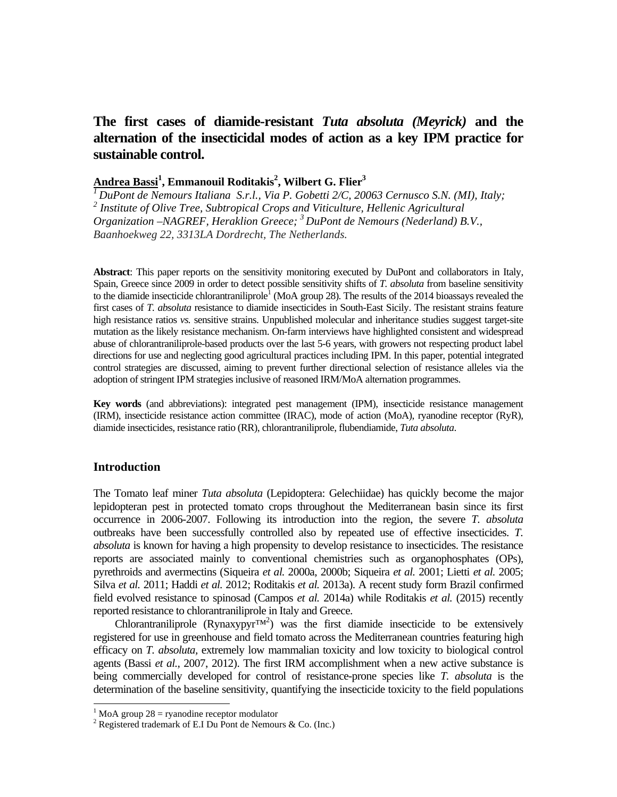# **The first cases of diamide-resistant** *Tuta absoluta (Meyrick)* **and the alternation of the insecticidal modes of action as a key IPM practice for sustainable control.**

# **Andrea Bassi1 , Emmanouil Roditakis<sup>2</sup> , Wilbert G. Flier3**

*1 DuPont de Nemours Italiana S.r.l., Via P. Gobetti 2/C, 20063 Cernusco S.N. (MI), Italy;*  <sup>2</sup> Institute of Olive Tree, Subtropical Crops and Viticulture, Hellenic Agricultural *Organization –NAGREF, Heraklion Greece; 3 DuPont de Nemours (Nederland) B.V., Baanhoekweg 22, 3313LA Dordrecht, The Netherlands.* 

**Abstract**: This paper reports on the sensitivity monitoring executed by DuPont and collaborators in Italy, Spain, Greece since 2009 in order to detect possible sensitivity shifts of *T. absoluta* from baseline sensitivity to the diamide insecticide chlorantraniliprole<sup>1</sup> (MoA group 28). The results of the 2014 bioassays revealed the first cases of *T. absoluta* resistance to diamide insecticides in South-East Sicily. The resistant strains feature high resistance ratios *vs.* sensitive strains. Unpublished molecular and inheritance studies suggest target-site mutation as the likely resistance mechanism. On-farm interviews have highlighted consistent and widespread abuse of chlorantraniliprole-based products over the last 5-6 years, with growers not respecting product label directions for use and neglecting good agricultural practices including IPM. In this paper, potential integrated control strategies are discussed, aiming to prevent further directional selection of resistance alleles via the adoption of stringent IPM strategies inclusive of reasoned IRM/MoA alternation programmes.

**Key words** (and abbreviations): integrated pest management (IPM), insecticide resistance management (IRM), insecticide resistance action committee (IRAC), mode of action (MoA), ryanodine receptor (RyR), diamide insecticides, resistance ratio (RR), chlorantraniliprole, flubendiamide, *Tuta absoluta*.

# **Introduction**

 $\overline{a}$ 

The Tomato leaf miner *Tuta absoluta* (Lepidoptera: Gelechiidae) has quickly become the major lepidopteran pest in protected tomato crops throughout the Mediterranean basin since its first occurrence in 2006-2007. Following its introduction into the region, the severe *T. absoluta* outbreaks have been successfully controlled also by repeated use of effective insecticides. *T. absoluta* is known for having a high propensity to develop resistance to insecticides. The resistance reports are associated mainly to conventional chemistries such as organophosphates (OPs), pyrethroids and avermectins (Siqueira *et al.* 2000a, 2000b; Siqueira *et al.* 2001; Lietti *et al.* 2005; Silva *et al.* 2011; Haddi *et al.* 2012; Roditakis *et al.* 2013a). A recent study form Brazil confirmed field evolved resistance to spinosad (Campos *et al.* 2014a) while Roditakis *et al.* (2015) recently reported resistance to chlorantraniliprole in Italy and Greece.

Chlorantraniliprole (Rynaxypyr<sup>TM<sup>2</sup>) was the first diamide insecticide to be extensively</sup> registered for use in greenhouse and field tomato across the Mediterranean countries featuring high efficacy on *T. absoluta,* extremely low mammalian toxicity and low toxicity to biological control agents (Bassi *et al.,* 2007, 2012). The first IRM accomplishment when a new active substance is being commercially developed for control of resistance-prone species like *T. absoluta* is the determination of the baseline sensitivity, quantifying the insecticide toxicity to the field populations

<sup>&</sup>lt;sup>1</sup> MoA group  $28 =$  ryanodine receptor modulator

<sup>&</sup>lt;sup>2</sup> Registered trademark of E.I Du Pont de Nemours & Co. (Inc.)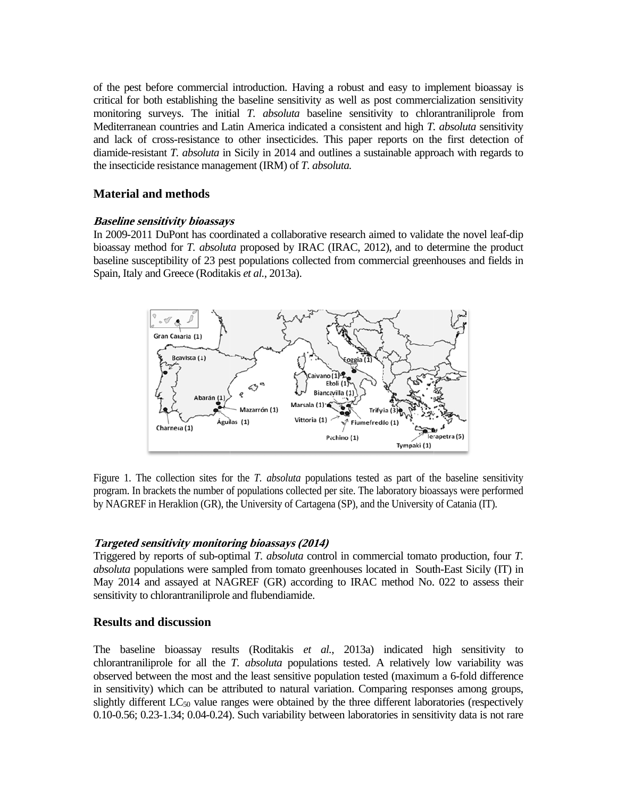of the pest before commercial introduction. Having a robust and easy to implement bioassay is critical for both establishing the baseline sensitivity as well as post commercialization sensitivity monitoring surveys. The initial T, absoluta baseline sensitivity to chlorant analisprole from Mediterranean countries and Latin America indicated a consistent and high T. absoluta sensitivity and lack of cross-resistance to other insecticides. This paper reports on the first detection of diamide-resistant T. absoluta in Sicily in 2014 and outlines a sustainable approach with regards to the insecticide resistance management (IRM) of T. absoluta.

# **Material and methods**

#### **Baseline sensitivity bioassays**

In 2009-2011 DuPont has coordinated a collaborative research aimed to validate the novel leaf-dip bioassay method for T. absoluta proposed by IRAC (IRAC, 2012), and to determine the product baseline susceptibility of 23 pest populations collected from commercial greenhouses and fields in Spain, Italy and Greece (Roditakis et al., 2013a).



Figure 1. The collection sites for the *T. absoluta* populations tested as part of the baseline sensitivity program. In brackets the number of populations collected per site. The laboratory bioassays were performed by NAGREF in Heraklion (GR), the University of Cartagena (SP), and the University of Catania (IT).

# **Targeted sensitivity monitoring bioassays (2014)**

Triggered by reports of sub-optimal T. absoluta control in commercial tomato production, four T. *absoluta* populations were sampled from tomato greenhouses located in South-East Sicily (IT) in May 2014 and assayed at NAGREF (GR) according to IRAC method No. 022 to assess their sensitivity to chlorantraniliprole and flubendiamide.

# **Results and discussion**

The baseline bioassay results (Roditakis et al., 2013a) indicated high sensitivity to chlorantraniliprole for all the *T. absoluta* populations tested. A relatively low variability was observed between the most and the least sensitive population tested (maximum a 6-fold difference in sensitivity) which can be attributed to natural variation. Comparing responses among groups, slightly different  $LC_{50}$  value ranges were obtained by the three different laboratories (respectively  $0.10$ -0.56;  $0.23$ -1.34;  $0.04$ -0.24). Such variability between laboratories in sensitivity data is not rare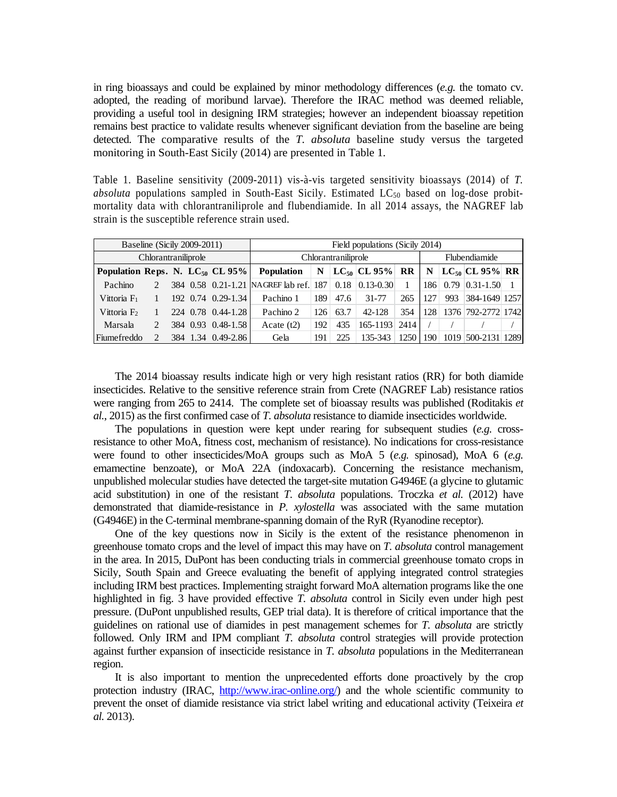in ring bioassays and could be explained by minor methodology differences (*e.g.* the tomato cv. adopted, the reading of moribund larvae). Therefore the IRAC method was deemed reliable, providing a useful tool in designing IRM strategies; however an independent bioassay repetition remains best practice to validate results whenever significant deviation from the baseline are being detected. The comparative results of the *T. absoluta* baseline study versus the targeted monitoring in South-East Sicily (2014) are presented in Table 1.

Table 1. Baseline sensitivity (2009-2011) vis-à-vis targeted sensitivity bioassays (2014) of *T. absoluta* populations sampled in South-East Sicily. Estimated  $LC_{50}$  based on log-dose probitmortality data with chlorantraniliprole and flubendiamide. In all 2014 assays, the NAGREF lab strain is the susceptible reference strain used.

| Baseline (Sicily 2009-2011)          |  |  | Field populations (Sicily 2014) |                                        |             |      |                       |               |     |      |                     |  |
|--------------------------------------|--|--|---------------------------------|----------------------------------------|-------------|------|-----------------------|---------------|-----|------|---------------------|--|
| Chlorantraniliprole                  |  |  | Chlorantraniliprole             |                                        |             |      |                       | Flubendiamide |     |      |                     |  |
| Population Reps. N. $LC_{50}$ CL 95% |  |  |                                 | <b>Population</b>                      | $\mathbf N$ |      | $ LC_{50} CL 95\% RR$ |               | N   |      | $LC_{50}$ CL 95% RR |  |
| Pachino                              |  |  |                                 | 384 0.58 0.21-1.21 NAGREF lab ref. 187 |             | 0.18 | $0.13 - 0.30$         |               | 186 | 0.79 | $ 0.31 - 1.50 $     |  |
| Vittoria $F_1$                       |  |  | 192 0.74 0.29-1.34              | Pachino 1                              | 189         | 47.6 | 31-77                 | 265           | 127 | 993  | 384-1649 1257       |  |
| Vittoria $F2$                        |  |  | 224 0.78 0.44-1.28              | Pachino 2                              | 126         | 63.7 | 42-128                | 354           | 128 |      | 1376 792-2772 1742  |  |
| Marsala                              |  |  | 384 0.93 0.48-1.58              | Acate $(t2)$                           | 192         | 435  | 165-1193              | 2414          |     |      |                     |  |
| Fiumefreddo                          |  |  | 384 1.34 0.49-2.86              | Gela                                   | 191         | 225  | 135-343               | 1250          | 190 | 1019 | 500-2131 1289       |  |

The 2014 bioassay results indicate high or very high resistant ratios (RR) for both diamide insecticides. Relative to the sensitive reference strain from Crete (NAGREF Lab) resistance ratios were ranging from 265 to 2414. The complete set of bioassay results was published (Roditakis *et al.*, 2015) as the first confirmed case of *T. absoluta* resistance to diamide insecticides worldwide.

The populations in question were kept under rearing for subsequent studies (*e.g.* crossresistance to other MoA, fitness cost, mechanism of resistance). No indications for cross-resistance were found to other insecticides/MoA groups such as MoA 5 (*e.g.* spinosad), MoA 6 (*e.g.*  emamectine benzoate), or MoA 22A (indoxacarb). Concerning the resistance mechanism, unpublished molecular studies have detected the target-site mutation G4946E (a glycine to glutamic acid substitution) in one of the resistant *T. absoluta* populations. Troczka *et al.* (2012) have demonstrated that diamide-resistance in *P. xylostella* was associated with the same mutation (G4946E) in the C-terminal membrane-spanning domain of the RyR (Ryanodine receptor).

One of the key questions now in Sicily is the extent of the resistance phenomenon in greenhouse tomato crops and the level of impact this may have on *T. absoluta* control management in the area. In 2015, DuPont has been conducting trials in commercial greenhouse tomato crops in Sicily, South Spain and Greece evaluating the benefit of applying integrated control strategies including IRM best practices. Implementing straight forward MoA alternation programs like the one highlighted in fig. 3 have provided effective *T. absoluta* control in Sicily even under high pest pressure. (DuPont unpublished results, GEP trial data). It is therefore of critical importance that the guidelines on rational use of diamides in pest management schemes for *T. absoluta* are strictly followed. Only IRM and IPM compliant *T. absoluta* control strategies will provide protection against further expansion of insecticide resistance in *T. absoluta* populations in the Mediterranean region.

It is also important to mention the unprecedented efforts done proactively by the crop protection industry (IRAC, http://www.irac-online.org/) and the whole scientific community to prevent the onset of diamide resistance via strict label writing and educational activity (Teixeira *et al.* 2013).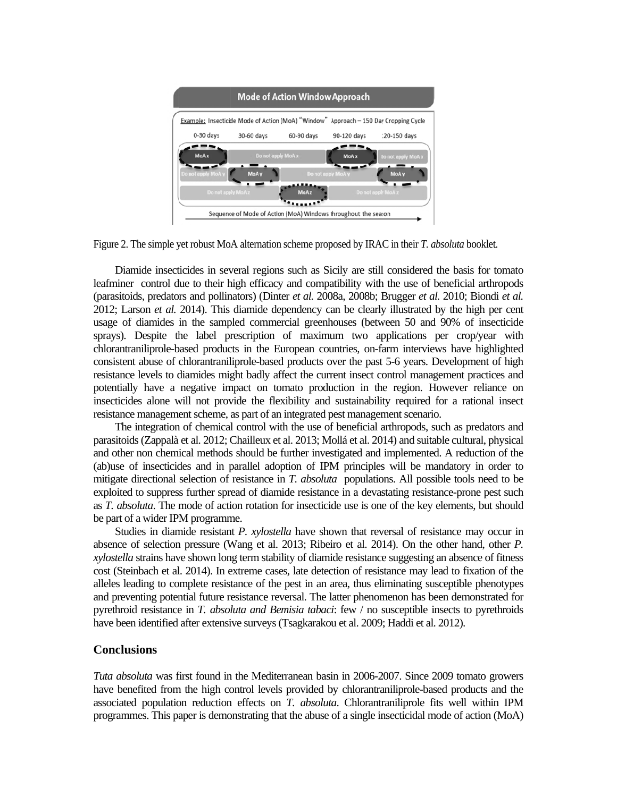| <b>Mode of Action Window Approach</b>   |                    |             |                                                                |                                                                                      |  |  |  |  |
|-----------------------------------------|--------------------|-------------|----------------------------------------------------------------|--------------------------------------------------------------------------------------|--|--|--|--|
|                                         |                    |             |                                                                | Example: Insecticide Mode of Action (MoA) "Window" Approach - 150 Day Cropping Cycle |  |  |  |  |
| $0-30$ days                             | 30-60 days         | 60-90 days  | 90-120 days                                                    | 120-150 days                                                                         |  |  |  |  |
| <b>MoAx</b>                             | Do not apply MoA x |             | <b>MoAx</b>                                                    | Do not apply MoAx                                                                    |  |  |  |  |
| Do not apply MoA y<br>Do not apply MoAz | <b>MoAy</b>        | <b>MoAz</b> | Do not apply MoA y                                             | <b>MoAy</b><br>Do not apply MoAz                                                     |  |  |  |  |
|                                         |                    |             | Sequence of Mode of Action (MoA) Windows throughout the season |                                                                                      |  |  |  |  |

Figure 2. The simple yet robust MoA alternation scheme proposed by IRAC in their T. absoluta booklet.

Diamide insecticides in several regions such as Sicily are still considered the basis for tomato leafminer control due to their high efficacy and compatibility with the use of beneficial arthropods (parasitoids, predators and pollinators) (Dinter et al. 2008a, 2008b; Brugger et al. 2010; Biondi et al. 2012; Larson et al. 2014). This diamide dependency can be clearly illustrated by the high per cent usage of diamides in the sampled commercial greenhouses (between 50 and 90% of insecticide sprays). Despite the label prescription of maximum two applications per crop/year with chlorantraniliprole-based products in the European countries, on-farm interviews have highlighted consistent abuse of chlorantraniliprole-based products over the past 5-6 years. Development of high resistance levels to diamides might badly affect the current insect control management practices and potentially have a negative impact on tomato production in the region. However reliance on insecticides alone will not provide the flexibility and sustainability required for a rational insect resistance management scheme, as part of an integrated pest management scenario.

The integration of chemical control with the use of beneficial arthropods, such as predators and parasitoids (Zappalà et al. 2012; Chailleux et al. 2013; Mollá et al. 2014) and suitable cultural, physical and other non chemical methods should be further investigated and implemented. A reduction of the (ab)use of insecticides and in parallel adoption of IPM principles will be mandatory in order to mitigate directional selection of resistance in  $T$ . absoluta populations. All possible tools need to be exploited to suppress further spread of diamide resistance in a devastating resistance-prone pest such as T. absoluta. The mode of action rotation for insecticide use is one of the key elements, but should be part of a wider IPM programme.

Studies in diamide resistant P. xylostella have shown that reversal of resistance may occur in absence of selection pressure (Wang et al. 2013; Ribeiro et al. 2014). On the other hand, other P. *xylostella* strains have shown long term stability of diamide resistance suggesting an absence of fitness cost (Steinbach et al. 2014). In extreme cases, late detection of resistance may lead to fixation of the alleles leading to complete resistance of the pest in an area, thus eliminating susceptible phenotypes and preventing potential future resistance reversal. The latter phenomenon has been demonstrated for pyrethroid resistance in  $T$ , absoluta and Bemisia tabaci: few  $/$  no susceptible insects to pyrethroids have been identified after extensive surveys (Tsagkarakou et al. 2009; Haddi et al. 2012).

# **Conclusions**

Tuta absoluta was first found in the Mediterranean basin in 2006-2007. Since 2009 tomato growers have benefited from the high control levels provided by chlorantraniliprole-based products and the associated population reduction effects on T. absoluta. Chlorantraniliprole fits well within IPM programmes. This paper is demonstrating that the abuse of a single insecticidal mode of action (MoA)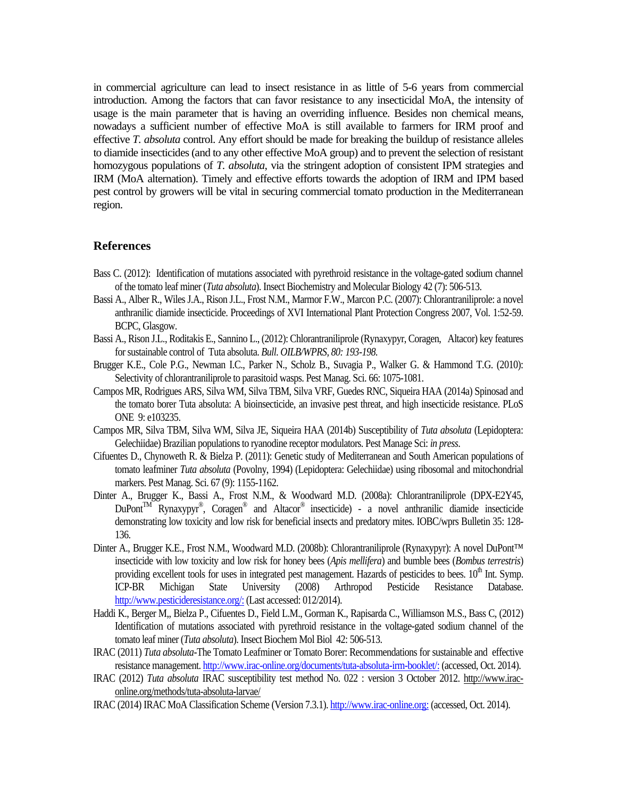in commercial agriculture can lead to insect resistance in as little of 5-6 years from commercial introduction. Among the factors that can favor resistance to any insecticidal MoA, the intensity of usage is the main parameter that is having an overriding influence. Besides non chemical means, nowadays a sufficient number of effective MoA is still available to farmers for IRM proof and effective *T. absoluta* control. Any effort should be made for breaking the buildup of resistance alleles to diamide insecticides (and to any other effective MoA group) and to prevent the selection of resistant homozygous populations of *T. absoluta*, via the stringent adoption of consistent IPM strategies and IRM (MoA alternation). Timely and effective efforts towards the adoption of IRM and IPM based pest control by growers will be vital in securing commercial tomato production in the Mediterranean region.

# **References**

- Bass C. (2012): Identification of mutations associated with pyrethroid resistance in the voltage-gated sodium channel of the tomato leaf miner (*Tuta absoluta*). Insect Biochemistry and Molecular Biology 42 (7): 506-513.
- Bassi A., Alber R., Wiles J.A., Rison J.L., Frost N.M., Marmor F.W., Marcon P.C. (2007): Chlorantraniliprole: a novel anthranilic diamide insecticide. Proceedings of XVI International Plant Protection Congress 2007, Vol. 1:52-59. BCPC, Glasgow.
- Bassi A., Rison J.L., Roditakis E., Sannino L., (2012): Chlorantraniliprole (Rynaxypyr, Coragen, Altacor) key features for sustainable control of Tuta absoluta. *Bull. OILB/WPRS, 80: 193-198.*
- Brugger K.E., Cole P.G., Newman I.C., Parker N., Scholz B., Suvagia P., Walker G. & Hammond T.G. (2010): Selectivity of chlorantraniliprole to parasitoid wasps. Pest Manag. Sci. 66: 1075-1081.
- Campos MR, Rodrigues ARS, Silva WM, Silva TBM, Silva VRF, Guedes RNC, Siqueira HAA (2014a) Spinosad and the tomato borer Tuta absoluta: A bioinsecticide, an invasive pest threat, and high insecticide resistance. PLoS ONE 9: e103235.
- Campos MR, Silva TBM, Silva WM, Silva JE, Siqueira HAA (2014b) Susceptibility of *Tuta absoluta* (Lepidoptera: Gelechiidae) Brazilian populations to ryanodine receptor modulators. Pest Manage Sci: *in press*.
- Cifuentes D., Chynoweth R. & Bielza P. (2011): Genetic study of Mediterranean and South American populations of tomato leafminer *Tuta absoluta* (Povolny, 1994) (Lepidoptera: Gelechiidae) using ribosomal and mitochondrial markers. Pest Manag. Sci. 67 (9): 1155-1162.
- Dinter A., Brugger K., Bassi A., Frost N.M., & Woodward M.D. (2008a): Chlorantraniliprole (DPX-E2Y45,  $Du\text{Pont}^{\text{TM}}$  Rynaxypyr<sup>®</sup>, Coragen<sup>®</sup> and Altacor<sup>®</sup> insecticide) - a novel anthranilic diamide insecticide demonstrating low toxicity and low risk for beneficial insects and predatory mites. IOBC/wprs Bulletin 35: 128- 136.
- Dinter A., Brugger K.E., Frost N.M., Woodward M.D. (2008b): Chlorantraniliprole (Rynaxypyr): A novel DuPont™ insecticide with low toxicity and low risk for honey bees (*Apis mellifera*) and bumble bees (*Bombus terrestris*) providing excellent tools for uses in integrated pest management. Hazards of pesticides to bees. 10<sup>th</sup> Int. Symp. ICP-BR Michigan State University (2008) Arthropod Pesticide Resistance Database. http://www.pesticideresistance.org/: (Last accessed: 012/2014).
- Haddi K., Berger M,, Bielza P., Cifuentes D., Field L.M., Gorman K., Rapisarda C., Williamson M.S., Bass C, (2012) Identification of mutations associated with pyrethroid resistance in the voltage-gated sodium channel of the tomato leaf miner (*Tuta absoluta*). Insect Biochem Mol Biol 42: 506-513.
- IRAC (2011) *Tuta absoluta-*The Tomato Leafminer or Tomato Borer: Recommendations for sustainable and effective resistance management. http://www.irac-online.org/documents/tuta-absoluta-irm-booklet/: (accessed, Oct. 2014).
- IRAC (2012) *Tuta absoluta* IRAC susceptibility test method No. 022 : version 3 October 2012. http://www.iraconline.org/methods/tuta-absoluta-larvae/
- IRAC (2014) IRAC MoA Classification Scheme (Version 7.3.1). http://www.irac-online.org: (accessed, Oct. 2014).